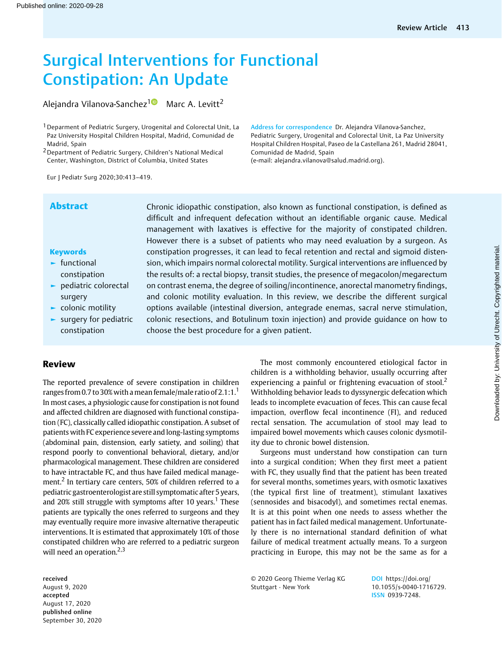# Surgical Interventions for Functional Constipation: An Update

Alejandra Vilanova-Sanchez<sup>[1](https://orcid.org/0000-0003-2054-2803)0</sup> Marc A. Levitt<sup>2</sup>

<sup>1</sup> Deparment of Pediatric Surgery, Urogenital and Colorectal Unit, La Paz University Hospital Children Hospital, Madrid, Comunidad de Madrid, Spain

<sup>2</sup> Department of Pediatric Surgery, Children's National Medical Center, Washington, District of Columbia, United States

Eur J Pediatr Surg 2020;30:413–419.

## Abstract **Chronic idiopathic constipation**, also known as functional constipation, is defined as

### **Keywords**

- ► functional constipation
- ► pediatric colorectal surgery
- ► colonic motility
- surgery for pediatric constipation

## Review

The reported prevalence of severe constipation in children ranges from 0.7 to 30% with a mean female/male ratio of  $2.1:1<sup>1</sup>$ In most cases, a physiologic cause for constipation is not found and affected children are diagnosed with functional constipation (FC), classically called idiopathic constipation. A subset of patients with FC experience severe and long-lasting symptoms (abdominal pain, distension, early satiety, and soiling) that respond poorly to conventional behavioral, dietary, and/or pharmacological management. These children are considered to have intractable FC, and thus have failed medical management.<sup>2</sup> In tertiary care centers, 50% of children referred to a pediatric gastroenterologist are still symptomatic after 5 years, and 20% still struggle with symptoms after 10 years.<sup>1</sup> These patients are typically the ones referred to surgeons and they may eventually require more invasive alternative therapeutic interventions. It is estimated that approximately 10% of those constipated children who are referred to a pediatric surgeon will need an operation.<sup>2,3</sup>

The most commonly encountered etiological factor in children is a withholding behavior, usually occurring after experiencing a painful or frightening evacuation of stool.<sup>2</sup> Withholding behavior leads to dyssynergic defecation which leads to incomplete evacuation of feces. This can cause fecal impaction, overflow fecal incontinence (FI), and reduced rectal sensation. The accumulation of stool may lead to impaired bowel movements which causes colonic dysmotility due to chronic bowel distension.

Address for correspondence Dr. Alejandra Vilanova-Sanchez, Pediatric Surgery, Urogenital and Colorectal Unit, La Paz University Hospital Children Hospital, Paseo de la Castellana 261, Madrid 28041,

Comunidad de Madrid, Spain

difficult and infrequent defecation without an identifiable organic cause. Medical management with laxatives is effective for the majority of constipated children. However there is a subset of patients who may need evaluation by a surgeon. As constipation progresses, it can lead to fecal retention and rectal and sigmoid distension, which impairs normal colorectal motility. Surgical interventions are influenced by the results of: a rectal biopsy, transit studies, the presence of megacolon/megarectum on contrast enema, the degree of soiling/incontinence, anorectal manometry findings, and colonic motility evaluation. In this review, we describe the different surgical options available (intestinal diversion, antegrade enemas, sacral nerve stimulation, colonic resections, and Botulinum toxin injection) and provide guidance on how to

choose the best procedure for a given patient.

(e-mail: [alejandra.vilanova@salud.madrid.org](mailto:alejandra.vilanova@salud.madrid.org)).

Surgeons must understand how constipation can turn into a surgical condition; When they first meet a patient with FC, they usually find that the patient has been treated for several months, sometimes years, with osmotic laxatives (the typical first line of treatment), stimulant laxatives (sennosides and bisacodyl), and sometimes rectal enemas. It is at this point when one needs to assess whether the patient has in fact failed medical management. Unfortunately there is no international standard definition of what failure of medical treatment actually means. To a surgeon practicing in Europe, this may not be the same as for a

© 2020 Georg Thieme Verlag KG Stuttgart · New York

DOI [https://doi.org/](https://doi.org/10.1055/s-0040-1716729) [10.1055/s-0040-1716729](https://doi.org/10.1055/s-0040-1716729). ISSN 0939-7248.

received August 9, 2020 accepted August 17, 2020 published online September 30, 2020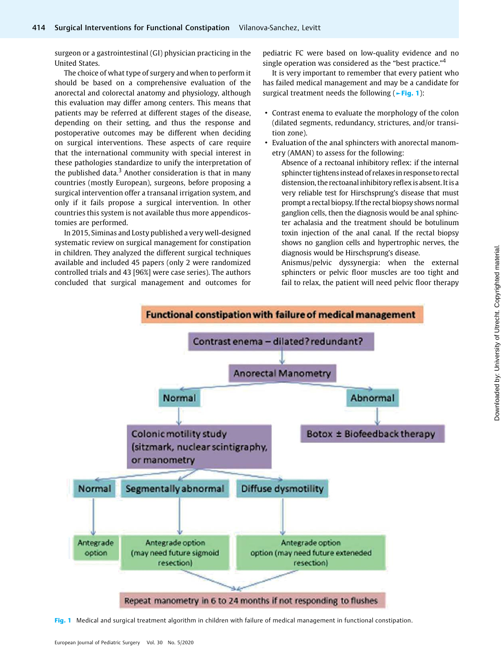surgeon or a gastrointestinal (GI) physician practicing in the United States.

The choice of what type of surgery and when to perform it should be based on a comprehensive evaluation of the anorectal and colorectal anatomy and physiology, although this evaluation may differ among centers. This means that patients may be referred at different stages of the disease, depending on their setting, and thus the response and postoperative outcomes may be different when deciding on surgical interventions. These aspects of care require that the international community with special interest in these pathologies standardize to unify the interpretation of the published data. $3$  Another consideration is that in many countries (mostly European), surgeons, before proposing a surgical intervention offer a transanal irrigation system, and only if it fails propose a surgical intervention. In other countries this system is not available thus more appendicostomies are performed.

In 2015, Siminas and Losty published a very well-designed systematic review on surgical management for constipation in children. They analyzed the different surgical techniques available and included 45 papers (only 2 were randomized controlled trials and 43 [96%] were case series). The authors concluded that surgical management and outcomes for pediatric FC were based on low-quality evidence and no single operation was considered as the "best practice."<sup>4</sup>

It is very important to remember that every patient who has failed medical management and may be a candidate for surgical treatment needs the following ( $\blacktriangleright$ Fig. 1):

- Contrast enema to evaluate the morphology of the colon (dilated segments, redundancy, strictures, and/or transition zone).
- Evaluation of the anal sphincters with anorectal manometry (AMAN) to assess for the following:
	- Absence of a rectoanal inhibitory reflex: if the internal sphincter tightensinstead of relaxes in response to rectal distension, the rectoanalinhibitory reflex is absent. It is a very reliable test for Hirschsprung's disease that must prompt a rectal biopsy. If the rectal biopsy shows normal ganglion cells, then the diagnosis would be anal sphincter achalasia and the treatment should be botulinum toxin injection of the anal canal. If the rectal biopsy shows no ganglion cells and hypertrophic nerves, the diagnosis would be Hirschsprung's disease.

Anismus/pelvic dyssynergia: when the external sphincters or pelvic floor muscles are too tight and fail to relax, the patient will need pelvic floor therapy



Fig. 1 Medical and surgical treatment algorithm in children with failure of medical management in functional constipation.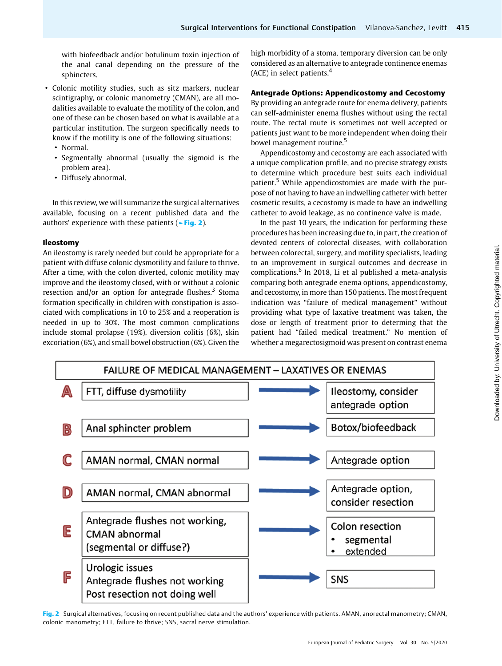with biofeedback and/or botulinum toxin injection of the anal canal depending on the pressure of the sphincters.

- Colonic motility studies, such as sitz markers, nuclear scintigraphy, or colonic manometry (CMAN), are all modalities available to evaluate the motility of the colon, and one of these can be chosen based on what is available at a particular institution. The surgeon specifically needs to know if the motility is one of the following situations:
	- Normal.
	- Segmentally abnormal (usually the sigmoid is the problem area).
	- Diffusely abnormal.

In this review, we will summarize the surgical alternatives available, focusing on a recent published data and the authors' experience with these patients (►Fig. 2).

## Ileostomy

An ileostomy is rarely needed but could be appropriate for a patient with diffuse colonic dysmotility and failure to thrive. After a time, with the colon diverted, colonic motility may improve and the ileostomy closed, with or without a colonic resection and/or an option for antegrade flushes. $3$  Stoma formation specifically in children with constipation is associated with complications in 10 to 25% and a reoperation is needed in up to 30%. The most common complications include stomal prolapse (19%), diversion colitis (6%), skin excoriation (6%), and small bowel obstruction (6%). Given the high morbidity of a stoma, temporary diversion can be only considered as an alternative to antegrade continence enemas  $(ACE)$  in select patients.<sup>4</sup>

# Antegrade Options: Appendicostomy and Cecostomy

By providing an antegrade route for enema delivery, patients can self-administer enema flushes without using the rectal route. The rectal route is sometimes not well accepted or patients just want to be more independent when doing their bowel management routine.<sup>5</sup>

Appendicostomy and cecostomy are each associated with a unique complication profile, and no precise strategy exists to determine which procedure best suits each individual patient.<sup>5</sup> While appendicostomies are made with the purpose of not having to have an indwelling catheter with better cosmetic results, a cecostomy is made to have an indwelling catheter to avoid leakage, as no continence valve is made.

In the past 10 years, the indication for performing these procedures has been increasing due to, in part, the creation of devoted centers of colorectal diseases, with collaboration between colorectal, surgery, and motility specialists, leading to an improvement in surgical outcomes and decrease in complications.<sup>6</sup> In 2018, Li et al published a meta-analysis comparing both antegrade enema options, appendicostomy, and cecostomy, in more than 150 patients. The most frequent indication was "failure of medical management" without providing what type of laxative treatment was taken, the dose or length of treatment prior to determing that the patient had "failed medical treatment." No mention of whether a megarectosigmoid was present on contrast enema



Fig. 2 Surgical alternatives, focusing on recent published data and the authors' experience with patients. AMAN, anorectal manometry; CMAN, colonic manometry; FTT, failure to thrive; SNS, sacral nerve stimulation.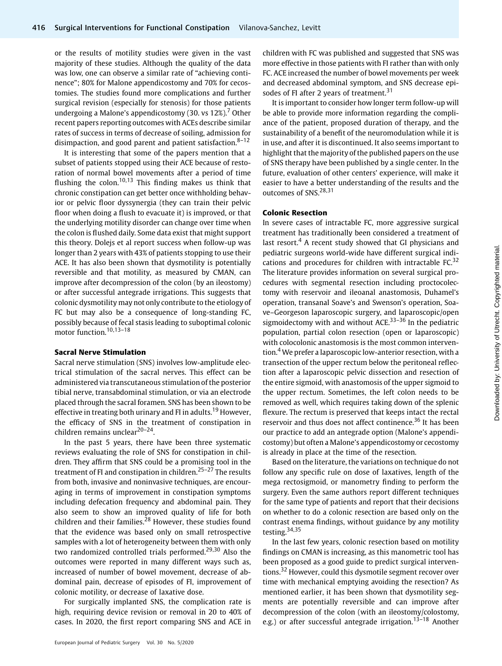or the results of motility studies were given in the vast majority of these studies. Although the quality of the data was low, one can observe a similar rate of "achieving continence"; 80% for Malone appendicostomy and 70% for cecostomies. The studies found more complications and further surgical revision (especially for stenosis) for those patients undergoing a Malone's appendicostomy (30. vs  $12\%$ ).<sup>7</sup> Other recent papers reporting outcomes with ACEs describe similar rates of success in terms of decrease of soiling, admission for disimpaction, and good parent and patient satisfaction. $8-12$ 

It is interesting that some of the papers mention that a subset of patients stopped using their ACE because of restoration of normal bowel movements after a period of time flushing the colon.<sup>10,13</sup> This finding makes us think that chronic constipation can get better once withholding behavior or pelvic floor dyssynergia (they can train their pelvic floor when doing a flush to evacuate it) is improved, or that the underlying motility disorder can change over time when the colon is flushed daily. Some data exist that might support this theory. Dolejs et al report success when follow-up was longer than 2 years with 43% of patients stopping to use their ACE. It has also been shown that dysmotility is potentially reversible and that motility, as measured by CMAN, can improve after decompression of the colon (by an ileostomy) or after successful antegrade irrigations. This suggests that colonic dysmotility may not only contribute to the etiology of FC but may also be a consequence of long-standing FC, possibly because of fecal stasis leading to suboptimal colonic motor function.<sup>10,13-18</sup>

#### Sacral Nerve Stimulation

Sacral nerve stimulation (SNS) involves low-amplitude electrical stimulation of the sacral nerves. This effect can be administered via transcutaneous stimulation of the posterior tibial nerve, transabdominal stimulation, or via an electrode placed through the sacral foramen. SNS has been shown to be effective in treating both urinary and FI in adults.<sup>19</sup> However, the efficacy of SNS in the treatment of constipation in children remains unclear $20-24$ .

In the past 5 years, there have been three systematic reviews evaluating the role of SNS for constipation in children. They affirm that SNS could be a promising tool in the treatment of FI and constipation in children.<sup>25-27</sup> The results from both, invasive and noninvasive techniques, are encouraging in terms of improvement in constipation symptoms including defecation frequency and abdominal pain. They also seem to show an improved quality of life for both children and their families. $^{28}$  However, these studies found that the evidence was based only on small retrospective samples with a lot of heterogeneity between them with only two randomized controlled trials performed.<sup>29,30</sup> Also the outcomes were reported in many different ways such as, increased of number of bowel movement, decrease of abdominal pain, decrease of episodes of FI, improvement of colonic motility, or decrease of laxative dose.

For surgically implanted SNS, the complication rate is high, requiring device revision or removal in 20 to 40% of cases. In 2020, the first report comparing SNS and ACE in children with FC was published and suggested that SNS was more effective in those patients with FI rather than with only FC. ACE increased the number of bowel movements per week and decreased abdominal symptom, and SNS decrease episodes of FI after 2 years of treatment.<sup>31</sup>

It is important to consider how longer term follow-up will be able to provide more information regarding the compliance of the patient, proposed duration of therapy, and the sustainability of a benefit of the neuromodulation while it is in use, and after it is discontinued. It also seems important to highlight that the majority of the published papers on the use of SNS therapy have been published by a single center. In the future, evaluation of other centers' experience, will make it easier to have a better understanding of the results and the outcomes of SNS.<sup>28,31</sup>

#### Colonic Resection

In severe cases of intractable FC, more aggressive surgical treatment has traditionally been considered a treatment of last resort.<sup>4</sup> A recent study showed that GI physicians and pediatric surgeons world-wide have different surgical indications and procedures for children with intractable FC.<sup>32</sup> The literature provides information on several surgical procedures with segmental resection including proctocolectomy with reservoir and ileoanal anastomosis, Duhamel's operation, transanal Soave's and Swenson's operation, Soave–Georgeson laparoscopic surgery, and laparoscopic/open sigmoidectomy with and without ACE.<sup>33–36</sup> In the pediatric population, partial colon resection (open or laparoscopic) with colocolonic anastomosis is the most common intervention.<sup>4</sup> We prefer a laparoscopic low-anterior resection, with a transection of the upper rectum below the peritoneal reflection after a laparoscopic pelvic dissection and resection of the entire sigmoid, with anastomosis of the upper sigmoid to the upper rectum. Sometimes, the left colon needs to be removed as well, which requires taking down of the splenic flexure. The rectum is preserved that keeps intact the rectal reservoir and thus does not affect continence.<sup>36</sup> It has been our practice to add an antegrade option (Malone's appendicostomy) but often a Malone's appendicostomy or cecostomy is already in place at the time of the resection.

Based on the literature, the variations on technique do not follow any specific rule on dose of laxatives, length of the mega rectosigmoid, or manometry finding to perform the surgery. Even the same authors report different techniques for the same type of patients and report that their decisions on whether to do a colonic resection are based only on the contrast enema findings, without guidance by any motility testing.34,35

In the last few years, colonic resection based on motility findings on CMAN is increasing, as this manometric tool has been proposed as a good guide to predict surgical interventions.<sup>32</sup> However, could this dysmotile segment recover over time with mechanical emptying avoiding the resection? As mentioned earlier, it has been shown that dysmotility segments are potentially reversible and can improve after decompression of the colon (with an ileostomy/colostomy, e.g.) or after successful antegrade irrigation.<sup>13–18</sup> Another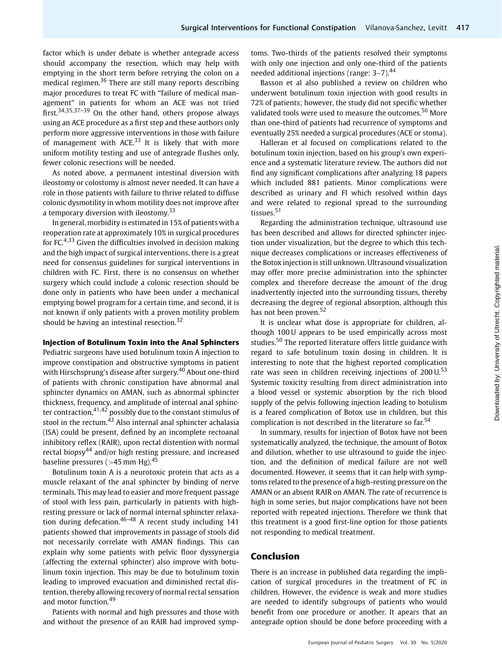factor which is under debate is whether antegrade access should accompany the resection, which may help with emptying in the short term before retrying the colon on a medical regimen.<sup>36</sup> There are still many reports describing major procedures to treat FC with "failure of medical management" in patients for whom an ACE was not tried first.<sup>34,35,37-39</sup> On the other hand, others propose always using an ACE procedure as a first step and these authors only perform more aggressive interventions in those with failure of management with ACE.<sup>33</sup> It is likely that with more uniform motility testing and use of antegrade flushes only, fewer colonic resections will be needed.

As noted above, a permanent intestinal diversion with ileostomy or colostomy is almost never needed. It can have a role in those patients with failure to thrive related to diffuse colonic dysmotility in whom motility does not improve after a temporary diversion with ileostomy.<sup>33</sup>

In general, morbidity is estimated in 15% of patients with a reoperation rate at approximately 10% in surgical procedures for FC.<sup>4,33</sup> Given the difficulties involved in decision making and the high impact of surgical interventions, there is a great need for consensus guidelines for surgical interventions in children with FC. First, there is no consensus on whether surgery which could include a colonic resection should be done only in patients who have been under a mechanical emptying bowel program for a certain time, and second, it is not known if only patients with a proven motility problem should be having an intestinal resection.<sup>32</sup>

## Injection of Botulinum Toxin into the Anal Sphincters

Pediatric surgeons have used botulinum toxin A injection to improve constipation and obstructive symptoms in patient with Hirschsprung's disease after surgery.<sup>40</sup> About one-third of patients with chronic constipation have abnormal anal sphincter dynamics on AMAN, such as abnormal sphincter thickness, frequency, and amplitude of internal anal sphincter contraction, $41,42$  possibly due to the constant stimulus of stool in the rectum.<sup>43</sup> Also internal anal sphincter achalasia (ISA) could be present, defined by an incomplete rectoanal inhibitory reflex (RAIR), upon rectal distention with normal rectal biopsy<sup>44</sup> and/or high resting pressure, and increased baseline pressures ( $>45$  mm Hg).<sup>45</sup>

Botulinum toxin A is a neurotoxic protein that acts as a muscle relaxant of the anal sphincter by binding of nerve terminals. This may lead to easier and more frequent passage of stool with less pain, particularly in patients with highresting pressure or lack of normal internal sphincter relaxation during defecation.<sup>46–48</sup> A recent study including 141 patients showed that improvements in passage of stools did not necessarily correlate with AMAN findings. This can explain why some patients with pelvic floor dyssynergia (affecting the external sphincter) also improve with botulinum toxin injection. This may be due to botulinum toxin leading to improved evacuation and diminished rectal distention, thereby allowing recovery of normal rectal sensation and motor function.<sup>49</sup>

Patients with normal and high pressures and those with and without the presence of an RAIR had improved symptoms. Two-thirds of the patients resolved their symptoms with only one injection and only one-third of the patients needed additional injections (range: 3–7).<sup>44</sup>

Basson et al also published a review on children who underwent botulinum toxin injection with good results in 72% of patients; however, the study did not specific whether validated tools were used to measure the outcomes.<sup>50</sup> More than one-third of patients had recurrence of symptoms and eventually 25% needed a surgical procedures (ACE or stoma).

Halleran et al focused on complications related to the botulinum toxin injection, based on his group's own experience and a systematic literature review. The authors did not find any significant complications after analyzing 18 papers which included 881 patients. Minor complications were described as urinary and FI which resolved within days and were related to regional spread to the surrounding tissues.<sup>51</sup>

Regarding the administration technique, ultrasound use has been described and allows for directed sphincter injection under visualization, but the degree to which this technique decreases complications or increases effectiveness of the Botox injection is still unknown. Ultrasound visualization may offer more precise administration into the sphincter complex and therefore decrease the amount of the drug inadvertently injected into the surrounding tissues, thereby decreasing the degree of regional absorption, although this has not been proven.<sup>52</sup>

It is unclear what dose is appropriate for children, although 100 U appears to be used empirically across most studies.<sup>50</sup> The reported literature offers little guidance with regard to safe botulinum toxin dosing in children. It is interesting to note that the highest reported complication rate was seen in children receiving injections of 200 U.<sup>53</sup> Systemic toxicity resulting from direct administration into a blood vessel or systemic absorption by the rich blood supply of the pelvis following injection leading to botulism is a feared complication of Botox use in children, but this complication is not described in the literature so far.<sup>54</sup>

In summary, results for injection of Botox have not been systematically analyzed, the technique, the amount of Botox and dilution, whether to use ultrasound to guide the injection, and the definition of medical failure are not well documented. However, it seems that it can help with symptoms related to the presence of a high-resting pressure on the AMAN or an absent RAIR on AMAN. The rate of recurrence is high in some series, but major complications have not been reported with repeated injections. Therefore we think that this treatment is a good first-line option for those patients not responding to medical treatment.

# Conclusion

There is an increase in published data regarding the implication of surgical procedures in the treatment of FC in children. However, the evidence is weak and more studies are needed to identify subgroups of patients who would benefit from one procedure or another. It apears that an antegrade option should be done before proceeding with a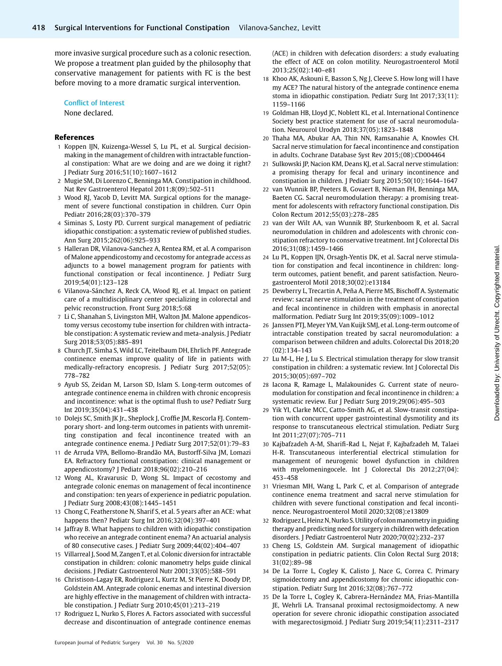more invasive surgical procedure such as a colonic resection. We propose a treatment plan guided by the philosophy that conservative management for patients with FC is the best before moving to a more dramatic surgical intervention.

Conflict of Interest

None declared.

## References

- 1 Koppen IJN, Kuizenga-Wessel S, Lu PL, et al. Surgical decisionmaking in the management of children with intractable functional constipation: What are we doing and are we doing it right? J Pediatr Surg 2016;51(10):1607–1612
- 2 Mugie SM, Di Lorenzo C, Benninga MA. Constipation in childhood. Nat Rev Gastroenterol Hepatol 2011;8(09):502–511
- 3 Wood RJ, Yacob D, Levitt MA. Surgical options for the management of severe functional constipation in children. Curr Opin Pediatr 2016;28(03):370–379
- 4 Siminas S, Losty PD. Current surgical management of pediatric idiopathic constipation: a systematic review of published studies. Ann Surg 2015;262(06):925–933
- 5 Halleran DR, Vilanova-Sanchez A, Rentea RM, et al. A comparison of Malone appendicostomy and cecostomy for antegrade access as adjuncts to a bowel management program for patients with functional constipation or fecal incontinence. J Pediatr Surg 2019;54(01):123–128
- 6 Vilanova-Sánchez A, Reck CA, Wood RJ, et al. Impact on patient care of a multidisciplinary center specializing in colorectal and pelvic reconstruction. Front Surg 2018;5:68
- 7 Li C, Shanahan S, Livingston MH, Walton JM. Malone appendicostomy versus cecostomy tube insertion for children with intractable constipation: A systematic review and meta-analysis. J Pediatr Surg 2018;53(05):885–891
- 8 Church JT, Simha S, Wild LC, Teitelbaum DH, Ehrlich PF. Antegrade continence enemas improve quality of life in patients with medically-refractory encopresis. J Pediatr Surg 2017;52(05): 778–782
- 9 Ayub SS, Zeidan M, Larson SD, Islam S. Long-term outcomes of antegrade continence enema in children with chronic encopresis and incontinence: what is the optimal flush to use? Pediatr Surg Int 2019;35(04):431–438
- 10 Dolejs SC, Smith JK Jr., Sheplock J, Croffie JM, Rescorla FJ. Contemporary short- and long-term outcomes in patients with unremitting constipation and fecal incontinence treated with an antegrade continence enema. J Pediatr Surg 2017;52(01):79–83
- 11 de Arruda VPA, Bellomo-Brandão MA, Bustorff-Silva JM, Lomazi EA. Refractory functional constipation: clinical management or appendicostomy? J Pediatr 2018;96(02):210–216
- 12 Wong AL, Kravarusic D, Wong SL. Impact of cecostomy and antegrade colonic enemas on management of fecal incontinence and constipation: ten years of experience in pediatric population. J Pediatr Surg 2008;43(08):1445–1451
- 13 Chong C, Featherstone N, Sharif S, et al. 5 years after an ACE: what happens then? Pediatr Surg Int 2016;32(04):397–401
- 14 Jaffray B. What happens to children with idiopathic constipation who receive an antegrade continent enema? An actuarial analysis of 80 consecutive cases. J Pediatr Surg 2009;44(02):404–407
- 15 Villarreal J, Sood M, Zangen T, et al. Colonic diversion for intractable constipation in children: colonic manometry helps guide clinical decisions. J Pediatr Gastroenterol Nutr 2001;33(05):588–591
- 16 Christison-Lagay ER, Rodriguez L, Kurtz M, St Pierre K, Doody DP, Goldstein AM. Antegrade colonic enemas and intestinal diversion are highly effective in the management of children with intractable constipation. J Pediatr Surg 2010;45(01):213–219
- 17 Rodriguez L, Nurko S, Flores A. Factors associated with successful decrease and discontinuation of antegrade continence enemas

(ACE) in children with defecation disorders: a study evaluating the effect of ACE on colon motility. Neurogastroenterol Motil 2013;25(02):140–e81

- 18 Khoo AK, Askouni E, Basson S, Ng J, Cleeve S. How long will I have my ACE? The natural history of the antegrade continence enema stoma in idiopathic constipation. Pediatr Surg Int 2017;33(11): 1159–1166
- 19 Goldman HB, Lloyd JC, Noblett KL, et al. International Continence Society best practice statement for use of sacral neuromodulation. Neurourol Urodyn 2018;37(05):1823–1848
- 20 Thaha MA, Abukar AA, Thin NN, Ramsanahie A, Knowles CH. Sacral nerve stimulation for faecal incontinence and constipation in adults. Cochrane Database Syst Rev 2015;(08):CD004464
- 21 Sulkowski JP, Nacion KM, Deans KJ, et al. Sacral nerve stimulation: a promising therapy for fecal and urinary incontinence and constipation in children. J Pediatr Surg 2015;50(10):1644–1647
- 22 van Wunnik BP, Peeters B, Govaert B, Nieman FH, Benninga MA, Baeten CG. Sacral neuromodulation therapy: a promising treatment for adolescents with refractory functional constipation. Dis Colon Rectum 2012;55(03):278–285
- 23 van der Wilt AA, van Wunnik BP, Sturkenboom R, et al. Sacral neuromodulation in children and adolescents with chronic constipation refractory to conservative treatment. Int J Colorectal Dis 2016;31(08):1459–1466
- 24 Lu PL, Koppen IJN, Orsagh-Yentis DK, et al. Sacral nerve stimulation for constipation and fecal incontinence in children: longterm outcomes, patient benefit, and parent satisfaction. Neurogastroenterol Motil 2018;30(02):e13184
- 25 Dewberry L, Trecartin A, Peña A, Pierre MS, Bischoff A. Systematic review: sacral nerve stimulation in the treatment of constipation and fecal incontinence in children with emphasis in anorectal malformation. Pediatr Surg Int 2019;35(09):1009–1012
- 26 Janssen PTJ, Meyer YM, Van Kuijk SMJ, et al. Long-term outcome of intractable constipation treated by sacral neuromodulation: a comparison between children and adults. Colorectal Dis 2018;20 (02):134–143
- 27 Lu M-L, He J, Lu S. Electrical stimulation therapy for slow transit constipation in children: a systematic review. Int J Colorectal Dis 2015;30(05):697–702
- 28 Iacona R, Ramage L, Malakounides G. Current state of neuromodulation for constipation and fecal incontinence in children: a systematic review. Eur J Pediatr Surg 2019;29(06):495–503
- 29 Yik YI, Clarke MCC, Catto-Smith AG, et al. Slow-transit constipation with concurrent upper gastrointestinal dysmotility and its response to transcutaneous electrical stimulation. Pediatr Surg Int 2011;27(07):705–711
- 30 Kajbafzadeh A-M, Sharifi-Rad L, Nejat F, Kajbafzadeh M, Talaei H-R. Transcutaneous interferential electrical stimulation for management of neurogenic bowel dysfunction in children with myelomeningocele. Int J Colorectal Dis 2012;27(04): 453–458
- 31 Vriesman MH, Wang L, Park C, et al. Comparison of antegrade continence enema treatment and sacral nerve stimulation for children with severe functional constipation and fecal incontinence. Neurogastroenterol Motil 2020;32(08):e13809
- 32 Rodriguez L, Heinz N, Nurko S. Utility of colon manometry in guiding therapy and predicting need for surgery in children with defecation disorders. J Pediatr Gastroenterol Nutr 2020;70(02):232–237
- 33 Cheng LS, Goldstein AM. Surgical management of idiopathic constipation in pediatric patients. Clin Colon Rectal Surg 2018; 31(02):89–98
- 34 De La Torre L, Cogley K, Calisto J, Nace G, Correa C. Primary sigmoidectomy and appendicostomy for chronic idiopathic constipation. Pediatr Surg Int 2016;32(08):767–772
- 35 De la Torre L, Cogley K, Cabrera-Hernández MA, Frias-Mantilla JE, Wehrli LA. Transanal proximal rectosigmoidectomy. A new operation for severe chronic idiopathic constipation associated with megarectosigmoid. J Pediatr Surg 2019;54(11):2311–2317